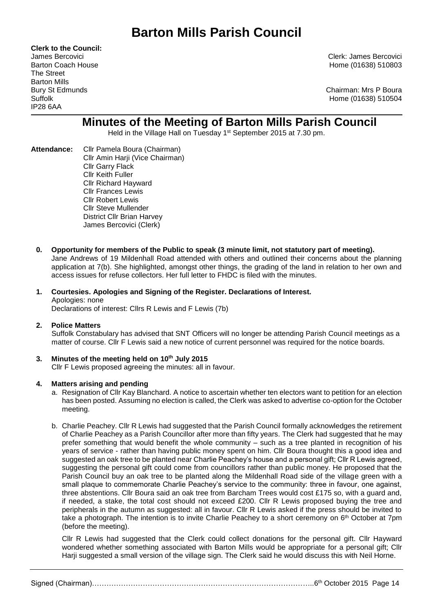**Clerk to the Council:** The Street Barton Mills IP28 6AA

James Bercovici Clerk: James Bercovici Barton Coach House **Home (01638)** 510803

Bury St Edmunds Chairman: Mrs P Boura Suffolk Home (01638) 510504

# **Minutes of the Meeting of Barton Mills Parish Council**

Held in the Village Hall on Tuesday 1<sup>st</sup> September 2015 at 7.30 pm.

- **Attendance:** Cllr Pamela Boura (Chairman) Cllr Amin Harji (Vice Chairman) Cllr Garry Flack Cllr Keith Fuller Cllr Richard Hayward Cllr Frances Lewis Cllr Robert Lewis Cllr Steve Mullender District Cllr Brian Harvey James Bercovici (Clerk)
	- **0. Opportunity for members of the Public to speak (3 minute limit, not statutory part of meeting).** Jane Andrews of 19 Mildenhall Road attended with others and outlined their concerns about the planning application at 7(b). She highlighted, amongst other things, the grading of the land in relation to her own and access issues for refuse collectors. Her full letter to FHDC is filed with the minutes.

# **1. Courtesies. Apologies and Signing of the Register. Declarations of Interest.** Apologies: none

Declarations of interest: Cllrs R Lewis and F Lewis (7b)

# **2. Police Matters**

Suffolk Constabulary has advised that SNT Officers will no longer be attending Parish Council meetings as a matter of course. Cllr F Lewis said a new notice of current personnel was required for the notice boards.

# **3. Minutes of the meeting held on 10th July 2015**

Cllr F Lewis proposed agreeing the minutes: all in favour.

# **4. Matters arising and pending**

- a. Resignation of Cllr Kay Blanchard. A notice to ascertain whether ten electors want to petition for an election has been posted. Assuming no election is called, the Clerk was asked to advertise co-option for the October meeting.
- b. Charlie Peachey. Cllr R Lewis had suggested that the Parish Council formally acknowledges the retirement of Charlie Peachey as a Parish Councillor after more than fifty years. The Clerk had suggested that he may prefer something that would benefit the whole community – such as a tree planted in recognition of his years of service - rather than having public money spent on him. Cllr Boura thought this a good idea and suggested an oak tree to be planted near Charlie Peachey's house and a personal gift; Cllr R Lewis agreed, suggesting the personal gift could come from councillors rather than public money. He proposed that the Parish Council buy an oak tree to be planted along the Mildenhall Road side of the village green with a small plaque to commemorate Charlie Peachey's service to the community: three in favour, one against, three abstentions. Cllr Boura said an oak tree from Barcham Trees would cost £175 so, with a guard and, if needed, a stake, the total cost should not exceed £200. Cllr R Lewis proposed buying the tree and peripherals in the autumn as suggested: all in favour. Cllr R Lewis asked if the press should be invited to take a photograph. The intention is to invite Charlie Peachey to a short ceremony on 6<sup>th</sup> October at 7pm (before the meeting).

Cllr R Lewis had suggested that the Clerk could collect donations for the personal gift. Cllr Hayward wondered whether something associated with Barton Mills would be appropriate for a personal gift; Cllr Harji suggested a small version of the village sign. The Clerk said he would discuss this with Neil Horne.

Signed (Chairman)………………………………………………………………………………..6th October 2015 Page 14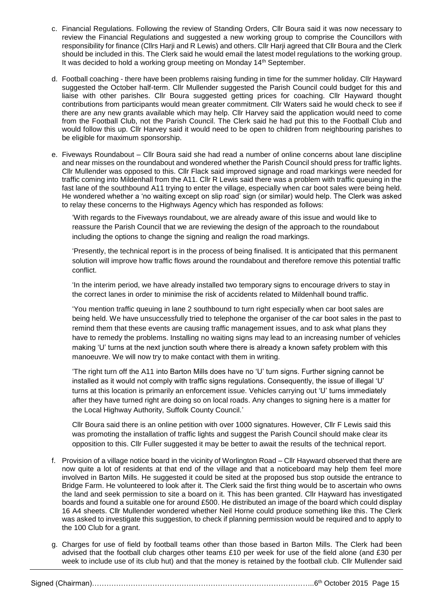- c. Financial Regulations. Following the review of Standing Orders, Cllr Boura said it was now necessary to review the Financial Regulations and suggested a new working group to comprise the Councillors with responsibility for finance (Cllrs Harji and R Lewis) and others. Cllr Harji agreed that Cllr Boura and the Clerk should be included in this. The Clerk said he would email the latest model regulations to the working group. It was decided to hold a working group meeting on Monday 14<sup>th</sup> September.
- d. Football coaching there have been problems raising funding in time for the summer holiday. Cllr Hayward suggested the October half-term. Cllr Mullender suggested the Parish Council could budget for this and liaise with other parishes. Cllr Boura suggested getting prices for coaching. Cllr Hayward thought contributions from participants would mean greater commitment. Cllr Waters said he would check to see if there are any new grants available which may help. Cllr Harvey said the application would need to come from the Football Club, not the Parish Council. The Clerk said he had put this to the Football Club and would follow this up. Cllr Harvey said it would need to be open to children from neighbouring parishes to be eligible for maximum sponsorship.
- e. Fiveways Roundabout Cllr Boura said she had read a number of online concerns about lane discipline and near misses on the roundabout and wondered whether the Parish Council should press for traffic lights. Cllr Mullender was opposed to this. Cllr Flack said improved signage and road markings were needed for traffic coming into Mildenhall from the A11. Cllr R Lewis said there was a problem with traffic queuing in the fast lane of the southbound A11 trying to enter the village, especially when car boot sales were being held. He wondered whether a 'no waiting except on slip road' sign (or similar) would help. The Clerk was asked to relay these concerns to the Highways Agency which has responded as follows:

'With regards to the Fiveways roundabout, we are already aware of this issue and would like to reassure the Parish Council that we are reviewing the design of the approach to the roundabout including the options to change the signing and realign the road markings.

'Presently, the technical report is in the process of being finalised. It is anticipated that this permanent solution will improve how traffic flows around the roundabout and therefore remove this potential traffic conflict.

'In the interim period, we have already installed two temporary signs to encourage drivers to stay in the correct lanes in order to minimise the risk of accidents related to Mildenhall bound traffic.

'You mention traffic queuing in lane 2 southbound to turn right especially when car boot sales are being held. We have unsuccessfully tried to telephone the organiser of the car boot sales in the past to remind them that these events are causing traffic management issues, and to ask what plans they have to remedy the problems. Installing no waiting signs may lead to an increasing number of vehicles making 'U' turns at the next junction south where there is already a known safety problem with this manoeuvre. We will now try to make contact with them in writing.

'The right turn off the A11 into Barton Mills does have no 'U' turn signs. Further signing cannot be installed as it would not comply with traffic signs regulations. Consequently, the issue of illegal 'U' turns at this location is primarily an enforcement issue. Vehicles carrying out 'U' turns immediately after they have turned right are doing so on local roads. Any changes to signing here is a matter for the Local Highway Authority, Suffolk County Council.'

Cllr Boura said there is an online petition with over 1000 signatures. However, Cllr F Lewis said this was promoting the installation of traffic lights and suggest the Parish Council should make clear its opposition to this. Cllr Fuller suggested it may be better to await the results of the technical report.

- f. Provision of a village notice board in the vicinity of Worlington Road Cllr Hayward observed that there are now quite a lot of residents at that end of the village and that a noticeboard may help them feel more involved in Barton Mills. He suggested it could be sited at the proposed bus stop outside the entrance to Bridge Farm. He volunteered to look after it. The Clerk said the first thing would be to ascertain who owns the land and seek permission to site a board on it. This has been granted. Cllr Hayward has investigated boards and found a suitable one for around £500. He distributed an image of the board which could display 16 A4 sheets. Cllr Mullender wondered whether Neil Horne could produce something like this. The Clerk was asked to investigate this suggestion, to check if planning permission would be required and to apply to the 100 Club for a grant.
- g. Charges for use of field by football teams other than those based in Barton Mills. The Clerk had been advised that the football club charges other teams £10 per week for use of the field alone (and £30 per week to include use of its club hut) and that the money is retained by the football club. Cllr Mullender said

Signed (Chairman)………………………………………………………………………………..6th October 2015 Page 15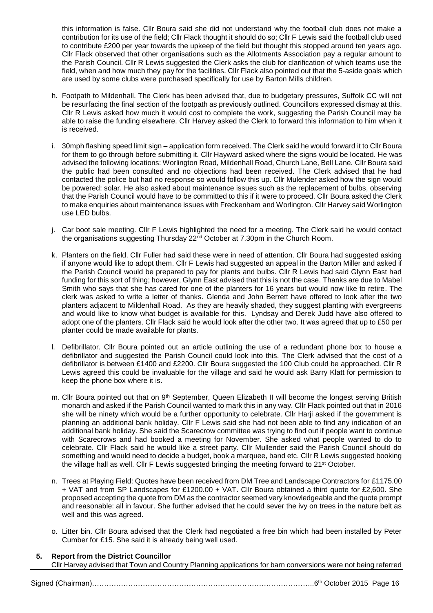this information is false. Cllr Boura said she did not understand why the football club does not make a contribution for its use of the field; Cllr Flack thought it should do so; Cllr F Lewis said the football club used to contribute £200 per year towards the upkeep of the field but thought this stopped around ten years ago. Cllr Flack observed that other organisations such as the Allotments Association pay a regular amount to the Parish Council. Cllr R Lewis suggested the Clerk asks the club for clarification of which teams use the field, when and how much they pay for the facilities. Cllr Flack also pointed out that the 5-aside goals which are used by some clubs were purchased specifically for use by Barton Mills children.

- h. Footpath to Mildenhall. The Clerk has been advised that, due to budgetary pressures, Suffolk CC will not be resurfacing the final section of the footpath as previously outlined. Councillors expressed dismay at this. Cllr R Lewis asked how much it would cost to complete the work, suggesting the Parish Council may be able to raise the funding elsewhere. Cllr Harvey asked the Clerk to forward this information to him when it is received.
- i. 30mph flashing speed limit sign application form received. The Clerk said he would forward it to Cllr Boura for them to go through before submitting it. Cllr Hayward asked where the signs would be located. He was advised the following locations: Worlington Road, Mildenhall Road, Church Lane, Bell Lane. Cllr Boura said the public had been consulted and no objections had been received. The Clerk advised that he had contacted the police but had no response so would follow this up. Cllr Mulender asked how the sign would be powered: solar. He also asked about maintenance issues such as the replacement of bulbs, observing that the Parish Council would have to be committed to this if it were to proceed. Cllr Boura asked the Clerk to make enquiries about maintenance issues with Freckenham and Worlington. Cllr Harvey said Worlington use LED bulbs.
- j. Car boot sale meeting. Cllr F Lewis highlighted the need for a meeting. The Clerk said he would contact the organisations suggesting Thursday 22<sup>nd</sup> October at 7.30pm in the Church Room.
- k. Planters on the field. Cllr Fuller had said these were in need of attention. Cllr Boura had suggested asking if anyone would like to adopt them. Cllr F Lewis had suggested an appeal in the Barton Miller and asked if the Parish Council would be prepared to pay for plants and bulbs. Cllr R Lewis had said Glynn East had funding for this sort of thing; however, Glynn East advised that this is not the case. Thanks are due to Mabel Smith who says that she has cared for one of the planters for 16 years but would now like to retire. The clerk was asked to write a letter of thanks. Glenda and John Berrett have offered to look after the two planters adjacent to Mildenhall Road. As they are heavily shaded, they suggest planting with evergreens and would like to know what budget is available for this. Lyndsay and Derek Judd have also offered to adopt one of the planters. Cllr Flack said he would look after the other two. It was agreed that up to £50 per planter could be made available for plants.
- l. Defibrillator. Cllr Boura pointed out an article outlining the use of a redundant phone box to house a defibrillator and suggested the Parish Council could look into this. The Clerk advised that the cost of a defibrillator is between £1400 and £2200. Cllr Boura suggested the 100 Club could be approached. Cllr R Lewis agreed this could be invaluable for the village and said he would ask Barry Klatt for permission to keep the phone box where it is.
- m. Cllr Boura pointed out that on 9<sup>th</sup> September, Queen Elizabeth II will become the longest serving British monarch and asked if the Parish Council wanted to mark this in any way. Cllr Flack pointed out that in 2016 she will be ninety which would be a further opportunity to celebrate. Cllr Harji asked if the government is planning an additional bank holiday. Cllr F Lewis said she had not been able to find any indication of an additional bank holiday. She said the Scarecrow committee was trying to find out if people want to continue with Scarecrows and had booked a meeting for November. She asked what people wanted to do to celebrate. Cllr Flack said he would like a street party. Cllr Mullender said the Parish Council should do something and would need to decide a budget, book a marquee, band etc. Cllr R Lewis suggested booking the village hall as well. Cllr F Lewis suggested bringing the meeting forward to 21st October.
- n. Trees at Playing Field: Quotes have been received from DM Tree and Landscape Contractors for £1175.00 + VAT and from SP Landscapes for £1200.00 + VAT. Cllr Boura obtained a third quote for £2,600. She proposed accepting the quote from DM as the contractor seemed very knowledgeable and the quote prompt and reasonable: all in favour. She further advised that he could sever the ivy on trees in the nature belt as well and this was agreed.
- o. Litter bin. Cllr Boura advised that the Clerk had negotiated a free bin which had been installed by Peter Cumber for £15. She said it is already being well used.

# **5. Report from the District Councillor**

Cllr Harvey advised that Town and Country Planning applications for barn conversions were not being referred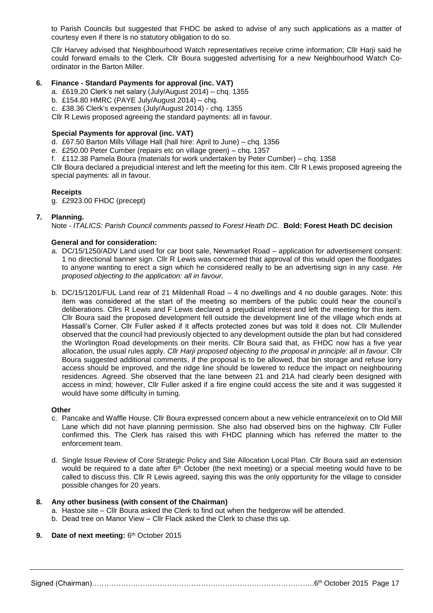to Parish Councils but suggested that FHDC be asked to advise of any such applications as a matter of courtesy even if there is no statutory obligation to do so.

Cllr Harvey advised that Neighbourhood Watch representatives receive crime information; Cllr Harji said he could forward emails to the Clerk. Cllr Boura suggested advertising for a new Neighbourhood Watch Coordinator in the Barton Miller.

### **6. Finance - Standard Payments for approval (inc. VAT)**

a. £619.20 Clerk's net salary (July/August 2014) – chq. 1355

b. £154.80 HMRC (PAYE July/August 2014) – chq.

c. £38.36 Clerk's expenses (July/August 2014) - chq. 1355

Cllr R Lewis proposed agreeing the standard payments: all in favour.

#### **Special Payments for approval (inc. VAT)**

d. £67.50 Barton Mills Village Hall (hall hire: April to June) – chq. 1356

e. £250.00 Peter Cumber (repairs etc on village green) – chq. 1357

f. £112.38 Pamela Boura (materials for work undertaken by Peter Cumber) – chq. 1358

Cllr Boura declared a prejudicial interest and left the meeting for this item. Cllr R Lewis proposed agreeing the special payments: all in favour.

#### **Receipts**

g. £2923.00 FHDC (precept)

#### **7. Planning.**

Note - *ITALICS: Parish Council comments passed to Forest Heath DC.* **Bold: Forest Heath DC decision**

#### **General and for consideration:**

- a. DC/15/1250/ADV Land used for car boot sale, Newmarket Road application for advertisement consent: 1 no directional banner sign. Cllr R Lewis was concerned that approval of this would open the floodgates to anyone wanting to erect a sign which he considered really to be an advertising sign in any case. *He proposed objecting to the application: all in favour.*
- b. DC/15/1201/FUL Land rear of 21 Mildenhall Road 4 no dwellings and 4 no double garages. Note: this item was considered at the start of the meeting so members of the public could hear the council's deliberations. Cllrs R Lewis and F Lewis declared a prejudicial interest and left the meeting for this item. Cllr Boura said the proposed development fell outside the development line of the village which ends at Hassall's Corner. Cllr Fuller asked if it affects protected zones but was told it does not. Cllr Mullender observed that the council had previously objected to any development outside the plan but had considered the Worlington Road developments on their merits. Cllr Boura said that, as FHDC now has a five year allocation, the usual rules apply. *Cllr Harji proposed objecting to the proposal in principle: all in favour.* Cllr Boura suggested additional comments, if the proposal is to be allowed, that bin storage and refuse lorry access should be improved, and the ridge line should be lowered to reduce the impact on neighbouring residences. Agreed. She observed that the lane between 21 and 21A had clearly been designed with access in mind; however, Cllr Fuller asked if a fire engine could access the site and it was suggested it would have some difficulty in turning.

#### **Other**

- c. Pancake and Waffle House. Cllr Boura expressed concern about a new vehicle entrance/exit on to Old Mill Lane which did not have planning permission. She also had observed bins on the highway. Cllr Fuller confirmed this. The Clerk has raised this with FHDC planning which has referred the matter to the enforcement team.
- d. Single Issue Review of Core Strategic Policy and Site Allocation Local Plan. Cllr Boura said an extension would be required to a date after 6<sup>th</sup> October (the next meeting) or a special meeting would have to be called to discuss this. Cllr R Lewis agreed, saying this was the only opportunity for the village to consider possible changes for 20 years.

#### **8. Any other business (with consent of the Chairman)**

- a. Hastoe site Cllr Boura asked the Clerk to find out when the hedgerow will be attended.
- b. Dead tree on Manor View Cllr Flack asked the Clerk to chase this up.

#### **9.** Date of next meeting: 6<sup>th</sup> October 2015

Signed (Chairman)………………………………………………………………………………..6th October 2015 Page 17